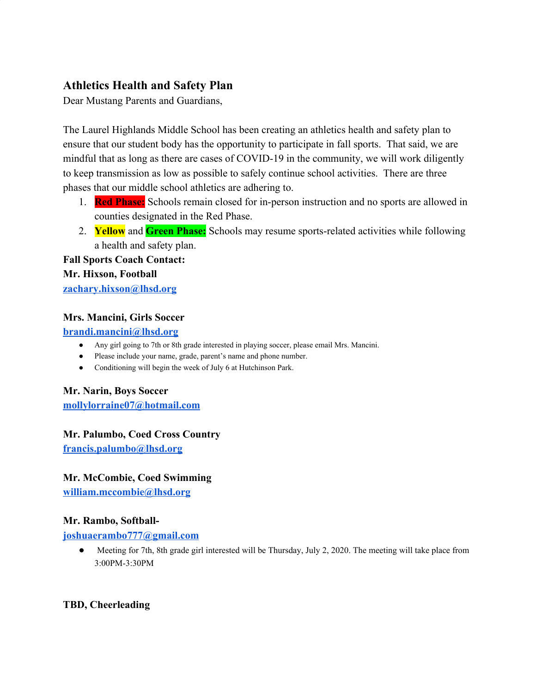## **Athletics Health and Safety Plan**

Dear Mustang Parents and Guardians,

The Laurel Highlands Middle School has been creating an athletics health and safety plan to ensure that our student body has the opportunity to participate in fall sports. That said, we are mindful that as long as there are cases of COVID-19 in the community, we will work diligently to keep transmission as low as possible to safely continue school activities. There are three phases that our middle school athletics are adhering to.

- 1. **Red Phase:** Schools remain closed for in-person instruction and no sports are allowed in counties designated in the Red Phase.
- 2. **Yellow** and **Green Phase:** Schools may resume sports-related activities while following a health and safety plan.

# **Fall Sports Coach Contact:**

**Mr. Hixson, Football**

**[zachary.hixson@lhsd.org](mailto:zachary.hixson@lhsd.org)**

### **Mrs. Mancini, Girls Soccer**

**[brandi.mancini@lhsd.org](mailto:brandi.mancini@lhsd.org)**

- Any girl going to 7th or 8th grade interested in playing soccer, please email Mrs. Mancini.
- Please include your name, grade, parent's name and phone number.
- Conditioning will begin the week of July 6 at Hutchinson Park.

#### **Mr. Narin, Boys Soccer**

**[mollylorraine07@hotmail.com](mailto:mollylorraine07@hotmail.com)**

#### **Mr. Palumbo, Coed Cross Country**

**[francis.palumbo@lhsd.org](mailto:francis.palumbo@lhsd.org)**

#### **Mr. McCombie, Coed Swimming**

**[william.mccombie@lhsd.org](mailto:william.mccombie@lhsd.org)**

#### **Mr. Rambo, Softball-**

#### **[joshuaerambo777@gmail.com](mailto:joshuaerambo777@gmail.com)**

● Meeting for 7th, 8th grade girl interested will be Thursday, July 2, 2020. The meeting will take place from 3:00PM-3:30PM

### **TBD, Cheerleading**